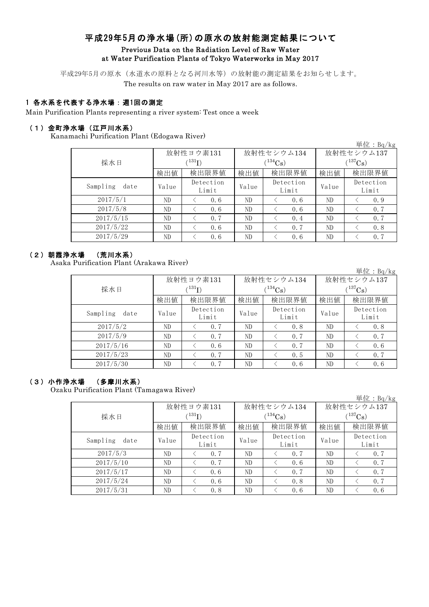# 平成29年5月の浄水場(所)の原水の放射能測定結果について Previous Data on the Radiation Level of Raw Water at Water Purification Plants of Tokyo Waterworks in May 2017

平成29年5月の原水(水道水の原料となる河川水等)の放射能の測定結果をお知らせします。

The results on raw water in May 2017 are as follows.

## 1 各水系を代表する浄水場:週1回の測定

Main Purification Plants representing a river system: Test once a week

### (1)金町浄水場(江戸川水系)

Kanamachi Purification Plant (Edogawa River)

| $\frac{1}{2}$    |       |                    |       |                    |              | 単位: $Bq/kg$        |  |
|------------------|-------|--------------------|-------|--------------------|--------------|--------------------|--|
|                  |       | 放射性ヨウ素131          |       | 放射性セシウム134         | 放射性セシウム137   |                    |  |
| 採水日              |       | $\rm ^{131}I)$     |       | $(134)$ Cs         | $(^{137}Cs)$ |                    |  |
|                  | 検出値   | 検出限界値              | 検出値   | 検出限界値              | 検出値          | 検出限界値              |  |
| Sampling<br>date | Value | Detection<br>Limit | Value | Detection<br>Limit | Value        | Detection<br>Limit |  |
| 2017/5/1         | ND    | 0.6                | ND    | 0.6                | ND           | 0.9                |  |
| 2017/5/8         | ND    | 0.6                | ND    | 0.6                | ND           | 0.7                |  |
| 2017/5/15        | ND    | 0.7                | ND    | 0.4                | ND           | 0.7                |  |
| 2017/5/22        | ND    | 0.6                | ND    | 0.7                | ND           | 0.8                |  |
| 2017/5/29        | ND    | 0.6                | ND    | 0.6                | ND           | 0.7                |  |

### (2)朝霞浄水場 (荒川水系)

Asaka Purification Plant (Arakawa River)

単位:Bq/kg

|                  |       | 放射性ヨウ素131          |       | 放射性セシウム134         | 放射性セシウム137   |                    |  |  |
|------------------|-------|--------------------|-------|--------------------|--------------|--------------------|--|--|
| 採水日              |       | $^{131}$ I)        |       | $(134)$ Cs         | $(^{137}Cs)$ |                    |  |  |
|                  | 検出値   | 検出限界値              | 検出値   | 検出限界値              | 検出値          | 検出限界値              |  |  |
| Sampling<br>date | Value | Detection<br>Limit | Value | Detection<br>Limit | Value        | Detection<br>Limit |  |  |
| 2017/5/2         | ND    | 0.7                | ND    | 0.8                | ND           | 0.8                |  |  |
| 2017/5/9         | ND.   | 0.7                | ND    | 0.7                | ND           | 0.7                |  |  |
| 2017/5/16        | ND    | 0.6                | ND    | 0.7                | ND           | 0.6                |  |  |
| 2017/5/23        | ND    | 0.7                | ND    | 0.5                | ND           | 0.7                |  |  |
| 2017/5/30        | ND    | 0.7                | ND    | 0.6                | ND           | 0.6                |  |  |

#### (3)小作浄水場 (多摩川水系)

Ozaku Purification Plant (Tamagawa River)

|                  |       |                          |       |                    |              | 単位: Bq/kg          |  |
|------------------|-------|--------------------------|-------|--------------------|--------------|--------------------|--|
|                  |       | 放射性ヨウ素131                |       | 放射性セシウム134         | 放射性セシウム137   |                    |  |
| 採水日              |       | $^{\prime\,131}{\rm I})$ |       | $(134)$ Cs)        | $(^{137}Cs)$ |                    |  |
|                  | 検出値   | 検出限界値                    | 検出値   | 検出限界値              | 検出値          | 検出限界値              |  |
| Sampling<br>date | Value | Detection<br>Limit       | Value | Detection<br>Limit | Value        | Detection<br>Limit |  |
| 2017/5/3         | ND    | 0.7                      | ND    | 0.7                | ND           | 0, 7               |  |
| 2017/5/10        | ND.   | 0.7                      | ND    | 0.6                | ND           | 0.7                |  |
| 2017/5/17        | ND.   | 0.6                      | ND    | 0.7                | ND           | 0.7                |  |
| 2017/5/24        | ND.   | 0.6                      | ND    | 0.8                | ND           | 0.7                |  |
| 2017/5/31        | ND    | 0.8                      | ND    | 0.6                | ND           | 0.6                |  |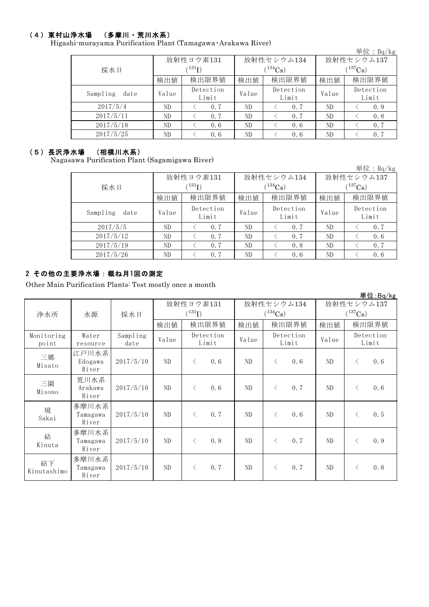### (4)東村山浄水場 (多摩川・荒川水系)

Higashi-murayama Purification Plant (Tamagawa・Arakawa River)

|                  |       |                    |            |                    |            | 単位: $Bq/kg$        |  |  |
|------------------|-------|--------------------|------------|--------------------|------------|--------------------|--|--|
|                  |       | 放射性ヨウ素131          |            | 放射性セシウム134         | 放射性セシウム137 |                    |  |  |
| 採水日              |       | (131)              | $(134)$ Cs |                    |            | $(^{137}Cs)$       |  |  |
|                  | 検出値   | 検出限界値              | 検出値        | 検出限界値              | 検出値        | 検出限界値              |  |  |
| Sampling<br>date | Value | Detection<br>Limit | Value      | Detection<br>Limit | Value      | Detection<br>Limit |  |  |
| 2017/5/4         | ND.   | 0.7                | ND         | 0.7                | ND         | 0.9                |  |  |
| 2017/5/11        | ND    | 0.7                | ND         | 0.7                | ND         | 0.8                |  |  |
| 2017/5/18        | ND    | 0.6                | ND         | 0.6                | ND         | 0.7                |  |  |
| 2017/5/25        | ND    | 0.6                | ND         | 0.6                | ND         | 0.7                |  |  |

#### (5)長沢浄水場 (相模川水系)

Nagasawa Purification Plant (Sagamigawa River)

|                  |       |                    |       |                    |              | 単位: $Bq/kg$        |  |
|------------------|-------|--------------------|-------|--------------------|--------------|--------------------|--|
|                  |       | 放射性ヨウ素131          |       | 放射性セシウム134         | 放射性セシウム137   |                    |  |
| 採水日              |       | $(^{131}I)$        |       | $(^{134}Cs)$       | $(^{137}Cs)$ |                    |  |
|                  | 検出値   | 検出限界値              | 検出値   | 検出限界値              | 検出値          | 検出限界値              |  |
| Sampling<br>date | Value | Detection<br>Limit | Value | Detection<br>Limit | Value        | Detection<br>Limit |  |
| 2017/5/5         | ND    | 0.7                | ND    | 0.7                | ND           | 0.7                |  |
| 2017/5/12        | ND.   | 0.7                | ND    | 0.7                | ND           | 0.6                |  |
| 2017/5/19        | ND.   | 0.7                | ND    | 0.8                | ND           | 0.7                |  |
| 2017/5/26        | ND    | 0.7                | ND    | 0.6                | ND           | 0.6                |  |

### 2 その他の主要浄水場:概ね月1回の測定

Other Main Purification Plants: Test mostly once a month

|                     |                            |                  |       |                    |       |              |           |                    |              |           | 早1. 나 : bq/kg      |
|---------------------|----------------------------|------------------|-------|--------------------|-------|--------------|-----------|--------------------|--------------|-----------|--------------------|
|                     |                            |                  |       | 放射性ヨウ素131          |       |              |           | 放射性セシウム134         |              |           | 放射性セシウム137         |
| 浄水所                 | 水源                         | 採水日              |       | $(^{131}I)$        |       | $(^{134}Cs)$ |           |                    | $(^{137}Cs)$ |           |                    |
|                     |                            |                  | 検出値   |                    | 検出限界値 | 検出値          | 検出限界値     |                    | 検出値          |           | 検出限界値              |
| Monitoring<br>point | Water<br>resource          | Sampling<br>date | Value | Detection<br>Limit |       | Value        |           | Detection<br>Limit | Value        |           | Detection<br>Limit |
| 三郷<br>Misato        | 江戸川水系<br>Edogawa<br>River  | 2017/5/10        | ND.   | $\langle$          | 0.6   | ND           | $\langle$ | 0.6                | ND.          | $\langle$ | 0.6                |
| 三園<br>Misono        | 荒川水系<br>Arakawa<br>River   | 2017/5/10        | ND.   | $\langle$          | 0.6   | ND           | $\langle$ | 0.7                | ND           | $\langle$ | 0.6                |
| 境<br>Sakai          | 多摩川水系<br>Tamagawa<br>River | 2017/5/10        | ND.   | $\langle$          | 0, 7  | ND           | $\langle$ | 0.6                | ND           | $\langle$ | 0.5                |
| 砧<br>Kinuta         | 多摩川水系<br>Tamagawa<br>River | 2017/5/10        | ND.   | $\langle$          | 0.8   | ND           | $\langle$ | 0.7                | ND.          | $\langle$ | 0.9                |
| 砧下<br>Kinutashimo   | 多摩川水系<br>Tamagawa<br>River | 2017/5/10        | ND    | $\langle$          | 0.7   | ND           | $\langle$ | 0.7                | ND.          | $\langle$ | 0.8                |

単位:Bq/kg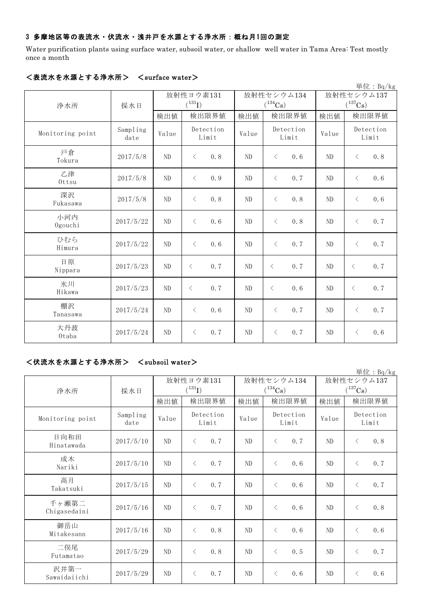## 3 多摩地区等の表流水・伏流水・浅井戸を水源とする浄水所:概ね月1回の測定

Water purification plants using surface water, subsoil water, or shallow well water in Tama Area: Test mostly once a month

|                  |                  |             |                    |       |                             |           |       |                    |           | 単位: Bq/kg |
|------------------|------------------|-------------|--------------------|-------|-----------------------------|-----------|-------|--------------------|-----------|-----------|
|                  |                  | 放射性ヨウ素131   |                    |       | 放射性セシウム134                  |           |       | 放射性セシウム137         |           |           |
| 浄水所              | 採水日              | $(^{131}I)$ |                    |       | $(^{134}Cs)$                |           |       | $(^{137}Cs)$       |           |           |
|                  |                  | 検出値         |                    | 検出限界値 | 検出値                         |           | 検出限界値 | 検出値                |           | 検出限界値     |
| Monitoring point | Sampling<br>date | Value       | Detection<br>Limit |       | Detection<br>Value<br>Limit |           | Value | Detection<br>Limit |           |           |
| 戸倉<br>Tokura     | 2017/5/8         | ND          | $\langle$          | 0.8   | ND                          | $\langle$ | 0.6   | ND                 | $\langle$ | 0.8       |
| 乙津<br>Ottsu      | 2017/5/8         | ND          | $\langle$          | 0.9   | ND                          | $\langle$ | 0.7   | ND                 | $\langle$ | 0.6       |
| 深沢<br>Fukasawa   | 2017/5/8         | ND          | $\langle$          | 0.8   | ND                          | $\langle$ | 0.8   | ND                 | $\langle$ | 0.6       |
| 小河内<br>Ogouchi   | 2017/5/22        | $\rm ND$    | $\langle$          | 0.6   | ND                          | $\langle$ | 0.8   | ND                 | $\langle$ | 0.7       |
| ひむら<br>Himura    | 2017/5/22        | ND          | $\langle$          | 0.6   | ND                          | $\langle$ | 0.7   | ND                 | $\langle$ | 0.7       |
| 日原<br>Nippara    | 2017/5/23        | ND          | $\lt$              | 0.7   | ND                          | $\lt$     | 0.7   | $\rm ND$           | $\langle$ | 0.7       |
| 氷川<br>Hikawa     | 2017/5/23        | ND          | $\langle$          | 0.7   | ND                          | $\lt$     | 0.6   | ND                 | $\langle$ | 0.7       |
| 棚沢<br>Tanasawa   | 2017/5/24        | ND          | $\langle$          | 0.6   | ND                          | $\lt$     | 0.7   | ND                 | $\langle$ | 0.7       |
| 大丹波<br>Otaba     | 2017/5/24        | ND          | $\langle$          | 0.7   | N <sub>D</sub>              | $\langle$ | 0.7   | ND                 | $\lt$     | 0.6       |

#### <表流水を水源とする浄水所> <surface water>

## <伏流水を水源とする浄水所> <subsoil water>

|                       |                  |              |                    |                             |                  |                       | 単位: $Bq/kg$        |  |
|-----------------------|------------------|--------------|--------------------|-----------------------------|------------------|-----------------------|--------------------|--|
|                       |                  |              | 放射性ヨウ素131          |                             | 放射性セシウム134       |                       | 放射性セシウム137         |  |
| 浄水所                   | 採水日              |              | $(^{131}I)$        |                             | $(^{134}Cs)$     | $(^{137}\mathrm{Cs})$ |                    |  |
|                       |                  | 検出限界値<br>検出値 |                    | 検出限界値<br>検出値                |                  | 検出値                   | 検出限界値              |  |
| Monitoring point      | Sampling<br>date | Value        | Detection<br>Limit | Detection<br>Value<br>Limit |                  | Value                 | Detection<br>Limit |  |
| 日向和田<br>Hinatawada    | 2017/5/10        | ND           | 0.7<br>$\langle$   | ND                          | 0.7<br>$\langle$ | ND                    | 0.8<br>$\lt$       |  |
| 成木<br>Nariki          | 2017/5/10        | ND           | $\langle$<br>0.7   | ND                          | $\langle$<br>0.6 | ND                    | 0.7<br>$\langle$   |  |
| 高月<br>Takatsuki       | 2017/5/15        | ND           | $\langle$<br>0.7   | ND                          | $\lt$<br>0.6     | ND                    | 0.7<br>$\lt$       |  |
| 千ヶ瀬第二<br>Chigasedaini | 2017/5/16        | ND           | $\langle$<br>0.7   | ND                          | $\lt$<br>0.6     | ND                    | $\langle$<br>0, 8  |  |
| 御岳山<br>Mitakesann     | 2017/5/16        | ND           | $\langle$<br>0.8   | ND                          | $\langle$<br>0.6 | ND                    | 0.6<br>$\lt$       |  |
| 二俣尾<br>Futamatao      | 2017/5/29        | ND           | 0.8<br>$\langle$   | ND                          | $\lt$<br>0.5     | ND                    | 0.7<br>$\langle$   |  |
| 沢井第一<br>Sawaidaiichi  | 2017/5/29        | ND           | 0.7<br>$\langle$   | ND                          | 0.6<br>$\langle$ | ND                    | 0.6<br>$\lt$       |  |